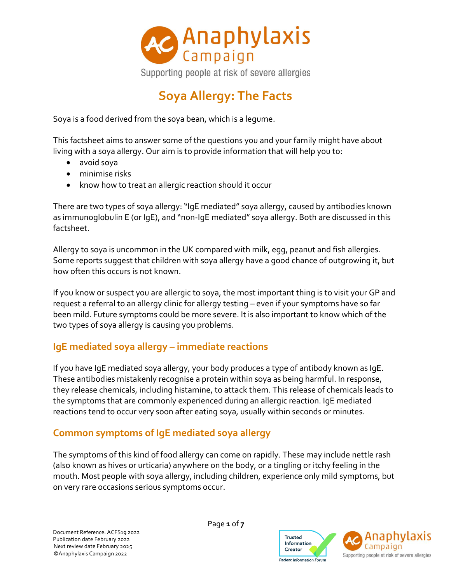

# **Soya Allergy: The Facts**

Soya is a food derived from the soya bean, which is a legume.

This factsheet aims to answer some of the questions you and your family might have about living with a soya allergy. Our aim is to provide information that will help you to:

- avoid soya
- minimise risks
- know how to treat an allergic reaction should it occur

There are two types of soya allergy: "IgE mediated" soya allergy, caused by antibodies known as immunoglobulin E (or IgE), and "non-IgE mediated" soya allergy. Both are discussed in this factsheet.

Allergy to soya is uncommon in the UK compared with milk, egg, peanut and fish allergies. Some reports suggest that children with soya allergy have a good chance of outgrowing it, but how often this occurs is not known.

If you know or suspect you are allergic to soya, the most important thing is to visit your GP and request a referral to an allergy clinic for allergy testing – even if your symptoms have so far been mild. Future symptoms could be more severe. It is also important to know which of the two types of soya allergy is causing you problems.

### **IgE mediated soya allergy – immediate reactions**

If you have IgE mediated soya allergy, your body produces a type of antibody known as IgE. These antibodies mistakenly recognise a protein within soya as being harmful. In response, they release chemicals, including histamine, to attack them. This release of chemicals leads to the symptoms that are commonly experienced during an allergic reaction. IgE mediated reactions tend to occur very soon after eating soya, usually within seconds or minutes.

#### **Common symptoms of IgE mediated soya allergy**

The symptoms of this kind of food allergy can come on rapidly. These may include nettle rash (also known as hives or urticaria) anywhere on the body, or a tingling or itchy feeling in the mouth. Most people with soya allergy, including children, experience only mild symptoms, but on very rare occasions serious symptoms occur.

Page **1** of **7**



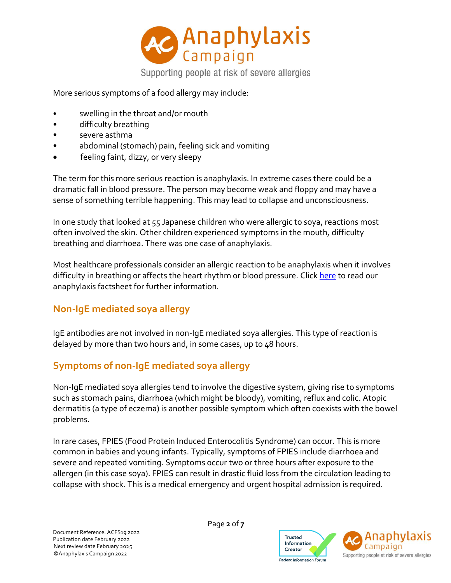

More serious symptoms of a food allergy may include:

- swelling in the throat and/or mouth
- difficulty breathing
- severe asthma
- abdominal (stomach) pain, feeling sick and vomiting
- feeling faint, dizzy, or very sleepy

The term for this more serious reaction is anaphylaxis. In extreme cases there could be a dramatic fall in blood pressure. The person may become weak and floppy and may have a sense of something terrible happening. This may lead to collapse and unconsciousness.

In one study that looked at 55 Japanese children who were allergic to soya, reactions most often involved the skin. Other children experienced symptoms in the mouth, difficulty breathing and diarrhoea. There was one case of anaphylaxis.

Most healthcare professionals consider an allergic reaction to be anaphylaxis when it involves difficulty in breathing or affects the heart rhythm or blood pressure. Click [here](https://www.anaphylaxis.org.uk/information-training/our-factsheets/) to read our anaphylaxis factsheet for further information.

# **Non-IgE mediated soya allergy**

IgE antibodies are not involved in non-IgE mediated soya allergies. This type of reaction is delayed by more than two hours and, in some cases, up to 48 hours.

### **Symptoms of non-IgE mediated soya allergy**

Non-IgE mediated soya allergies tend to involve the digestive system, giving rise to symptoms such as stomach pains, diarrhoea (which might be bloody), vomiting, reflux and colic. Atopic dermatitis (a type of eczema) is another possible symptom which often coexists with the bowel problems.

In rare cases, FPIES (Food Protein Induced Enterocolitis Syndrome) can occur. This is more common in babies and young infants. Typically, symptoms of FPIES include diarrhoea and severe and repeated vomiting. Symptoms occur two or three hours after exposure to the allergen (in this case soya). FPIES can result in drastic fluid loss from the circulation leading to collapse with shock. This is a medical emergency and urgent hospital admission is required.

Page **2** of **7**



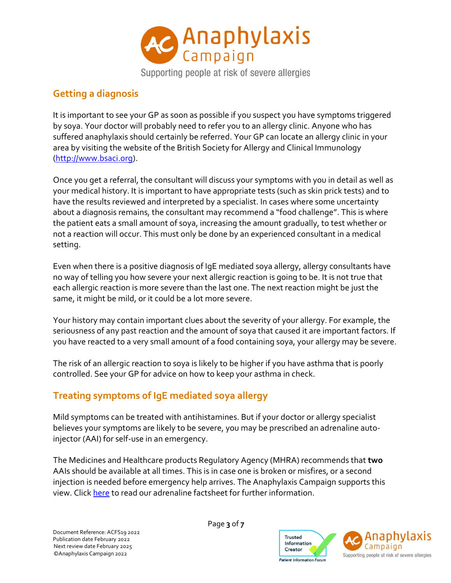

Supporting people at risk of severe allergies

### **Getting a diagnosis**

It is important to see your GP as soon as possible if you suspect you have symptoms triggered by soya. Your doctor will probably need to refer you to an allergy clinic. Anyone who has suffered anaphylaxis should certainly be referred. Your GP can locate an allergy clinic in your area by visiting the website of the British Society for Allergy and Clinical Immunology [\(http://www.bsaci.org\)](http://www.bsaci.org/).

Once you get a referral, the consultant will discuss your symptoms with you in detail as well as your medical history. It is important to have appropriate tests (such as skin prick tests) and to have the results reviewed and interpreted by a specialist. In cases where some uncertainty about a diagnosis remains, the consultant may recommend a "food challenge". This is where the patient eats a small amount of soya, increasing the amount gradually, to test whether or not a reaction will occur. This must only be done by an experienced consultant in a medical setting.

Even when there is a positive diagnosis of IgE mediated soya allergy, allergy consultants have no way of telling you how severe your next allergic reaction is going to be. It is not true that each allergic reaction is more severe than the last one. The next reaction might be just the same, it might be mild, or it could be a lot more severe.

Your history may contain important clues about the severity of your allergy. For example, the seriousness of any past reaction and the amount of soya that caused it are important factors. If you have reacted to a very small amount of a food containing soya, your allergy may be severe.

The risk of an allergic reaction to soya is likely to be higher if you have asthma that is poorly controlled. See your GP for advice on how to keep your asthma in check.

# **Treating symptoms of IgE mediated soya allergy**

Mild symptoms can be treated with antihistamines. But if your doctor or allergy specialist believes your symptoms are likely to be severe, you may be prescribed an adrenaline autoinjector (AAI) for self-use in an emergency.

The Medicines and Healthcare products Regulatory Agency (MHRA) recommends that **two** AAIs should be available at all times. This is in case one is broken or misfires, or a second injection is needed before emergency help arrives. The Anaphylaxis Campaign supports this view. Clic[k here](https://www.anaphylaxis.org.uk/information-training/our-factsheets/) to read our adrenaline factsheet for further information.

Page **3** of **7**



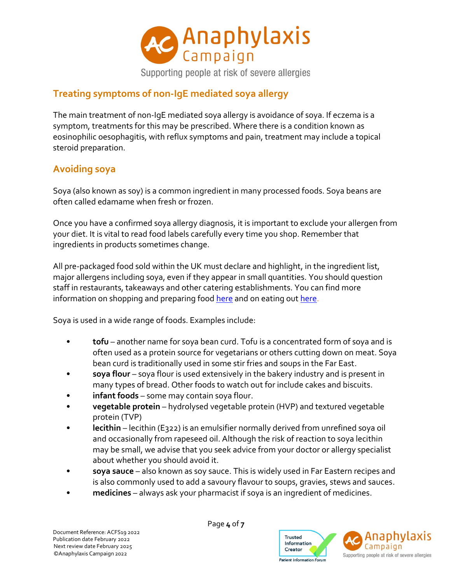

### **Treating symptoms of non-IgE mediated soya allergy**

The main treatment of non-IgE mediated soya allergy is avoidance of soya. If eczema is a symptom, treatments for this may be prescribed. Where there is a condition known as eosinophilic oesophagitis, with reflux symptoms and pain, treatment may include a topical steroid preparation.

# **Avoiding soya**

Soya (also known as soy) is a common ingredient in many processed foods. Soya beans are often called edamame when fresh or frozen.

Once you have a confirmed soya allergy diagnosis, it is important to exclude your allergen from your diet. It is vital to read food labels carefully every time you shop. Remember that ingredients in products sometimes change.

All pre-packaged food sold within the UK must declare and highlight, in the ingredient list, major allergens including soya, even if they appear in small quantities. You should question staff in restaurants, takeaways and other catering establishments. You can find more information on shopping and preparing foo[d here](https://www.anaphylaxis.org.uk/living-with-anaphylaxis/shopping-and-preparing-food/) and on eating ou[t here.](https://www.anaphylaxis.org.uk/living-with-anaphylaxis/a-guide-to-eating-out/)

Soya is used in a wide range of foods. Examples include:

- **tofu** another name for soya bean curd. Tofu is a concentrated form of soya and is often used as a protein source for vegetarians or others cutting down on meat. Soya bean curd is traditionally used in some stir fries and soups in the Far East.
- **soya flour** soya flour is used extensively in the bakery industry and is present in many types of bread. Other foods to watch out for include cakes and biscuits.
- **infant foods** some may contain soya flour.
- **vegetable protein** hydrolysed vegetable protein (HVP) and textured vegetable protein (TVP)
- **lecithin** lecithin (E322) is an emulsifier normally derived from unrefined soya oil and occasionally from rapeseed oil. Although the risk of reaction to soya lecithin may be small, we advise that you seek advice from your doctor or allergy specialist about whether you should avoid it.
- **soya sauce** also known as soy sauce. This is widely used in Far Eastern recipes and is also commonly used to add a savoury flavour to soups, gravies, stews and sauces.
- **medicines** always ask your pharmacist if soya is an ingredient of medicines.



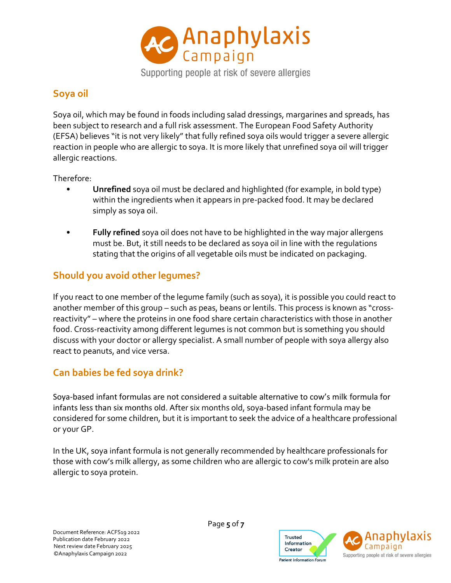

Supporting people at risk of severe allergies

# **Soya oil**

Soya oil, which may be found in foods including salad dressings, margarines and spreads, has been subject to research and a full risk assessment. The European Food Safety Authority (EFSA) believes "it is not very likely" that fully refined soya oils would trigger a severe allergic reaction in people who are allergic to soya. It is more likely that unrefined soya oil will trigger allergic reactions.

Therefore:

- **Unrefined** soya oil must be declared and highlighted (for example, in bold type) within the ingredients when it appears in pre-packed food. It may be declared simply as soya oil.
- **Fully refined** soya oil does not have to be highlighted in the way major allergens must be. But, it still needs to be declared as soya oil in line with the regulations stating that the origins of all vegetable oils must be indicated on packaging.

# **Should you avoid other legumes?**

If you react to one member of the legume family (such as soya), it is possible you could react to another member of this group – such as peas, beans or lentils. This process is known as "crossreactivity" – where the proteins in one food share certain characteristics with those in another food. Cross-reactivity among different legumes is not common but is something you should discuss with your doctor or allergy specialist. A small number of people with soya allergy also react to peanuts, and vice versa.

# **Can babies be fed soya drink?**

Soya-based infant formulas are not considered a suitable alternative to cow's milk formula for infants less than six months old. After six months old, soya-based infant formula may be considered for some children, but it is important to seek the advice of a healthcare professional or your GP.

In the UK, soya infant formula is not generally recommended by healthcare professionals for those with cow's milk allergy, as some children who are allergic to cow's milk protein are also allergic to soya protein.

Page **5** of **7**

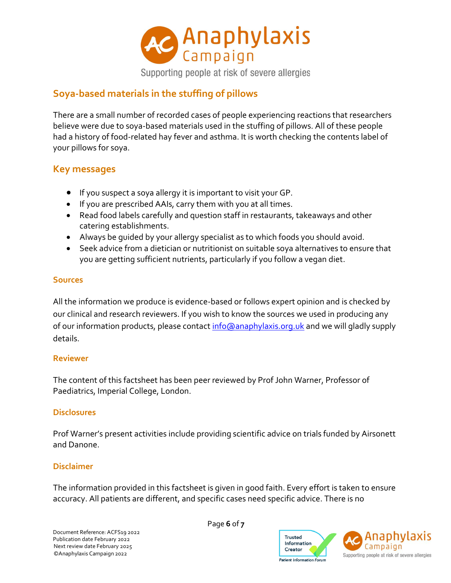

### **Soya-based materials in the stuffing of pillows**

There are a small number of recorded cases of people experiencing reactions that researchers believe were due to soya-based materials used in the stuffing of pillows. All of these people had a history of food-related hay fever and asthma. It is worth checking the contents label of your pillows for soya.

#### **Key messages**

- If you suspect a soya allergy it is important to visit your GP.
- If you are prescribed AAIs, carry them with you at all times.
- Read food labels carefully and question staff in restaurants, takeaways and other catering establishments.
- Always be guided by your allergy specialist as to which foods you should avoid.
- Seek advice from a dietician or nutritionist on suitable soya alternatives to ensure that you are getting sufficient nutrients, particularly if you follow a vegan diet.

#### **Sources**

All the information we produce is evidence-based or follows expert opinion and is checked by our clinical and research reviewers. If you wish to know the sources we used in producing any of our information products, please contact [info@anaphylaxis.org.uk](mailto:info@anaphylaxis.org.uk) and we will gladly supply details.

#### **Reviewer**

The content of this factsheet has been peer reviewed by Prof John Warner, Professor of Paediatrics, Imperial College, London.

#### **Disclosures**

Prof Warner's present activities include providing scientific advice on trials funded by Airsonett and Danone.

#### **Disclaimer**

The information provided in this factsheet is given in good faith. Every effort is taken to ensure accuracy. All patients are different, and specific cases need specific advice. There is no

Page **6** of **7**